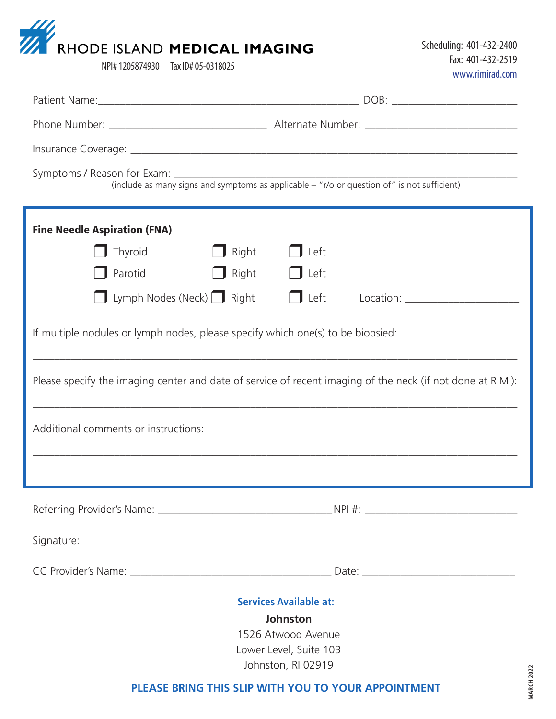|  | <b>WE RHODE ISLAND MEDICAL IMAGING</b> |
|--|----------------------------------------|
|  | $NPI# 1205874930$ Tay $IN# 05_0318025$ |

| <b>Fine Needle Aspiration (FNA)</b>                                             |                                                                                                            |  |  |  |  |  |  |  |  |  |
|---------------------------------------------------------------------------------|------------------------------------------------------------------------------------------------------------|--|--|--|--|--|--|--|--|--|
| Thyroid<br>$\Box$ Right                                                         | Left                                                                                                       |  |  |  |  |  |  |  |  |  |
| Parotid<br>$\Box$ Right                                                         | $\Box$ Left                                                                                                |  |  |  |  |  |  |  |  |  |
| <b>Uymph Nodes (Neck)</b> Right                                                 | $\Box$ Left                                                                                                |  |  |  |  |  |  |  |  |  |
| If multiple nodules or lymph nodes, please specify which one(s) to be biopsied: |                                                                                                            |  |  |  |  |  |  |  |  |  |
|                                                                                 | Please specify the imaging center and date of service of recent imaging of the neck (if not done at RIMI): |  |  |  |  |  |  |  |  |  |
| Additional comments or instructions:                                            |                                                                                                            |  |  |  |  |  |  |  |  |  |
|                                                                                 |                                                                                                            |  |  |  |  |  |  |  |  |  |
|                                                                                 |                                                                                                            |  |  |  |  |  |  |  |  |  |
|                                                                                 |                                                                                                            |  |  |  |  |  |  |  |  |  |
|                                                                                 |                                                                                                            |  |  |  |  |  |  |  |  |  |
| <b>Services Available at:</b>                                                   |                                                                                                            |  |  |  |  |  |  |  |  |  |
| Johnston                                                                        |                                                                                                            |  |  |  |  |  |  |  |  |  |
| 1526 Atwood Avenue<br>Lower Level, Suite 103                                    |                                                                                                            |  |  |  |  |  |  |  |  |  |
| Johnston, RI 02919                                                              |                                                                                                            |  |  |  |  |  |  |  |  |  |
| <b>MARCH 2022</b><br>PLEASE BRING THIS SLIP WITH YOU TO YOUR APPOINTMENT        |                                                                                                            |  |  |  |  |  |  |  |  |  |